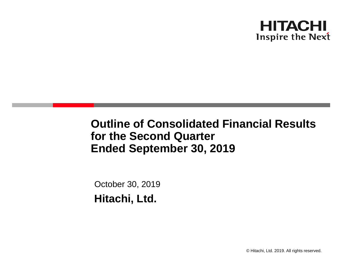

**Outline of Consolidated Financial Results for the Second Quarter Ended September 30, 2019**

October 30, 2019 **Hitachi, Ltd.**

© Hitachi, Ltd. 2019. All rights reserved.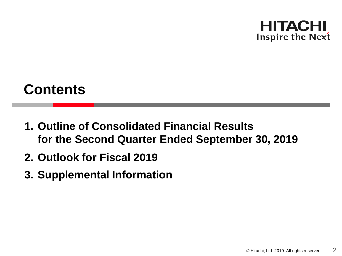

# **Contents**

- **1. Outline of Consolidated Financial Results for the Second Quarter Ended September 30, 2019**
- **2. Outlook for Fiscal 2019**
- **3. Supplemental Information**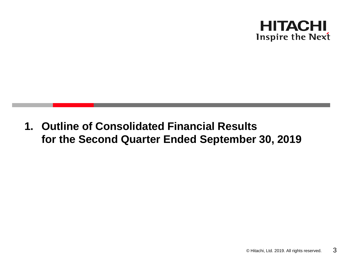

**1. Outline of Consolidated Financial Results for the Second Quarter Ended September 30, 2019**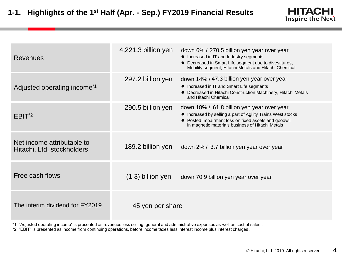| <b>Revenues</b>                                          | 4,221.3 billion yen | down 6% / 270.5 billion yen year over year<br>• Increased in IT and Industry segments<br>• Decreased in Smart Life segment due to divestitures,<br>Mobility segment, Hitachi Metals and Hitachi Chemical               |
|----------------------------------------------------------|---------------------|------------------------------------------------------------------------------------------------------------------------------------------------------------------------------------------------------------------------|
| Adjusted operating income <sup>*1</sup>                  | 297.2 billion yen   | down 14% / 47.3 billion yen year over year<br>• Increased in IT and Smart Life segments<br>• Decreased in Hitachi Construction Machinery, Hitachi Metals<br>and Hitachi Chemical                                       |
| $EBIT^2$                                                 | 290.5 billion yen   | down 18% / 61.8 billion yen year over year<br>• Increased by selling a part of Agility Trains West stocks<br>• Posted Impairment loss on fixed assets and goodwill<br>in magnetic materials business of Hitachi Metals |
| Net income attributable to<br>Hitachi, Ltd. stockholders | 189.2 billion yen   | down 2% / 3.7 billion yen year over year                                                                                                                                                                               |
| Free cash flows                                          | $(1.3)$ billion yen | down 70.9 billion yen year over year                                                                                                                                                                                   |
| The interim dividend for FY2019                          | 45 yen per share    |                                                                                                                                                                                                                        |

\*1 "Adjusted operating income" is presented as revenues less selling, general and administrative expenses as well as cost of sales .

\*2 "EBIT" is presented as income from continuing operations, before income taxes less interest income plus interest charges.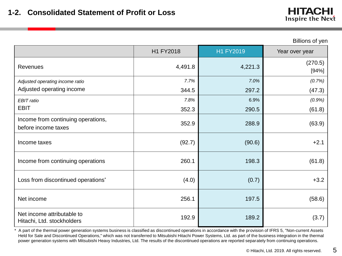|                                                           | H1 FY2018 | H1 FY2019 | Year over year   |
|-----------------------------------------------------------|-----------|-----------|------------------|
| <b>Revenues</b>                                           | 4,491.8   | 4,221.3   | (270.5)<br>[94%] |
| Adjusted operating income ratio                           | 7.7%      | 7.0%      | (0.7%)           |
| Adjusted operating income                                 | 344.5     | 297.2     | (47.3)           |
| EBIT ratio                                                | 7.8%      | 6.9%      | (0.9%)           |
| <b>EBIT</b>                                               | 352.3     | 290.5     | (61.8)           |
| Income from continuing operations,<br>before income taxes | 352.9     | 288.9     | (63.9)           |
| Income taxes                                              | (92.7)    | (90.6)    | $+2.1$           |
| Income from continuing operations                         | 260.1     | 198.3     | (61.8)           |
| Loss from discontinued operations <sup>*</sup>            | (4.0)     | (0.7)     | $+3.2$           |
| Net income                                                | 256.1     | 197.5     | (58.6)           |
| Net income attributable to<br>Hitachi, Ltd. stockholders  | 192.9     | 189.2     | (3.7)            |

\* A part of the thermal power generation systems business is classified as discontinued operations in accordance with the provision of IFRS 5, "Non-current Assets Held for Sale and Discontinued Operations," which was not transferred to Mitsubishi Hitachi Power Systems, Ltd. as part of the business integration in the thermal power generation systems with Mitsubishi Heavy Industries, Ltd. The results of the discontinued operations are reported separately from continuing operations.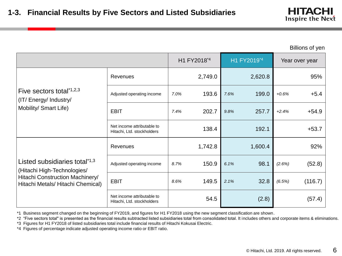Billions of yen

|                                                                          |                                                          |                                                                                   | H1 FY2018*4 |      | H1 FY2019 <sup>*4</sup> |         | Year over year |
|--------------------------------------------------------------------------|----------------------------------------------------------|-----------------------------------------------------------------------------------|-------------|------|-------------------------|---------|----------------|
|                                                                          | Revenues                                                 |                                                                                   | 2,749.0     |      | 2,620.8                 |         | 95%            |
| Five sectors total*1,2,3<br>(IT/Energy/Industry/                         | Adjusted operating income                                | 7.0%                                                                              | 193.6       | 7.6% | 199.0                   | $+0.6%$ | $+5.4$         |
| Mobility/ Smart Life)                                                    | <b>EBIT</b>                                              | 202.7<br>257.7<br>$+2.4%$<br>7.4%<br>9.8%<br>138.4<br>192.1<br>1,742.8<br>1,600.4 | $+54.9$     |      |                         |         |                |
|                                                                          | Net income attributable to<br>Hitachi, Ltd. stockholders |                                                                                   |             |      |                         |         | $+53.7$        |
|                                                                          | Revenues                                                 |                                                                                   |             |      |                         |         | 92%            |
| Listed subsidiaries total <sup>*1,3</sup><br>(Hitachi High-Technologies/ | Adjusted operating income                                | 8.7%                                                                              | 150.9       | 6.1% | 98.1                    | (2.6%)  | (52.8)         |
| Hitachi Construction Machinery/<br>Hitachi Metals/ Hitachi Chemical)     | <b>EBIT</b>                                              | 8.6%                                                                              | 149.5       | 2.1% | 32.8                    | (6.5%)  | (116.7)        |
|                                                                          | Net income attributable to<br>Hitachi, Ltd. stockholders |                                                                                   | 54.5        |      | (2.8)                   |         | (57.4)         |

\*1 Business segment changed on the beginning of FY2019, and figures for H1 FY2018 using the new segment classification are shown.

\*2 "Five sectors total" is presented as the financial results subtracted listed subsidiaries total from consolidated total. It includes others and corporate items & eliminations.

\*3 Figures for H1 FY2018 of listed subsidiaries total include financial results of Hitachi Kokusai Electric.

\*4 Figures of percentage indicate adjusted operating income ratio or EBIT ratio.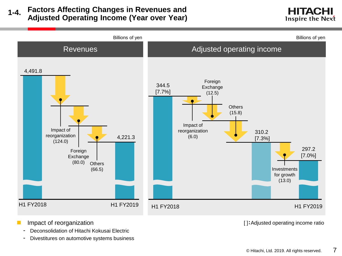### **Factors Affecting Changes in Revenues and Adjusted Operating Income (Year over Year) 1-4.**





- **Impact of reorganization** 
	- Deconsolidation of Hitachi Kokusai Electric
	- Divestitures on automotive systems business

[ ]:Adjusted operating income ratio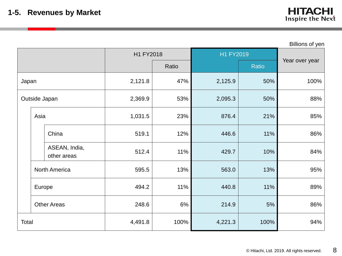|               |        |                              |           |       |           |       | Billions of yen |
|---------------|--------|------------------------------|-----------|-------|-----------|-------|-----------------|
|               |        |                              | H1 FY2018 |       | H1 FY2019 |       |                 |
|               |        |                              |           | Ratio |           | Ratio | Year over year  |
| Japan         |        |                              | 2,121.8   | 47%   | 2,125.9   | 50%   | 100%            |
| Outside Japan |        |                              | 2,369.9   | 53%   | 2,095.3   | 50%   |                 |
|               | Asia   |                              | 1,031.5   | 23%   | 876.4     | 21%   | 85%             |
|               |        | China                        | 519.1     | 12%   | 446.6     | 11%   | 86%             |
|               |        | ASEAN, India,<br>other areas | 512.4     | 11%   | 429.7     | 10%   | 84%             |
|               |        | North America                | 595.5     | 13%   | 563.0     | 13%   | 95%             |
|               | Europe |                              | 494.2     | 11%   | 440.8     | 11%   | 89%             |
|               |        | <b>Other Areas</b>           | 248.6     | 6%    | 214.9     | $5%$  | 86%             |
| Total         |        |                              | 4,491.8   | 100%  | 4,221.3   | 100%  | 94%             |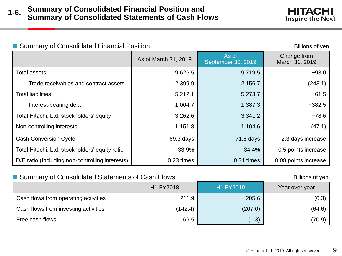#### ■ Summary of Consolidated Financial Position Billions of yen

|                                                |                                                 | As of March 31, 2019 | As of<br>September 30, 2019 | Change from<br>March 31, 2019 |
|------------------------------------------------|-------------------------------------------------|----------------------|-----------------------------|-------------------------------|
|                                                | Total assets                                    | 9,719.5<br>9,626.5   |                             | $+93.0$                       |
|                                                | Trade receivables and contract assets           | 2,399.9              | 2,156.7                     | (243.1)                       |
| <b>Total liabilities</b>                       |                                                 | 5,212.1              | 5,273.7                     | $+61.5$                       |
|                                                | Interest-bearing debt                           | 1,004.7              | 1,387.3                     | $+382.5$                      |
|                                                | Total Hitachi, Ltd. stockholders' equity        | 3,262.6              | 3,341.2                     | $+78.6$                       |
|                                                | Non-controlling interests                       | 1,151.8              | 1,104.6                     | (47.1)                        |
| <b>Cash Conversion Cycle</b>                   |                                                 | 69.3 days            | 71.6 days                   | 2.3 days increase             |
| Total Hitachi, Ltd. stockholders' equity ratio |                                                 | 33.9%                | 34.4%                       | 0.5 points increase           |
|                                                | D/E ratio (Including non-controlling interests) | 0.23 times           | 0.31 times                  | 0.08 points increase          |

### Summary of Consolidated Statements of Cash Flows Billions of yen

| <u>– Udifficity of Obtiobilidated Olaterretite of Odbit i fowo</u> |           | ווט עווטוווט     |                |
|--------------------------------------------------------------------|-----------|------------------|----------------|
|                                                                    | H1 FY2018 | <b>H1 FY2019</b> | Year over year |
| Cash flows from operating activities                               | 211.9     | 205.6            | (6.3)          |
| Cash flows from investing activities                               | (142.4)   | (207.0)          | (64.6)         |
| Free cash flows                                                    | 69.5      | (1.3)            | (70.9)         |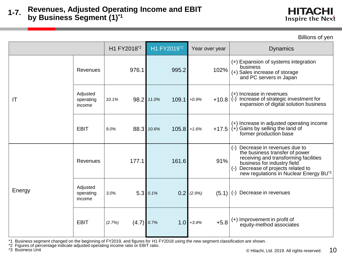H1 FY2018<sup>\*2</sup> H1 FY2019<sup>\*2</sup> Year over year Network Dynamics IT Revenues | 976.1 995.2 102% (+) Expansion of systems integration business (+) Sales increase of storage and PC servers in Japan Adjusted operating income *10.1%* 98.2 *11.0%* 109.1 *+0.9%* +10.8 (+) Increase in revenues  $\left( \cdot \right)$  Increase of strategic investment for expansion of digital solution business EBIT *9.0%* 88.3 *10.6%* 105.8 *+1.6%* +17.5 (+) Increase in adjusted operating income  $(+)$  Gains by selling the land of former production base Energy Revenues 177.1 161.6 91% (-) Decrease in revenues due to the business transfer of power receiving and transforming facilities business for industry field (-) Decrease of projects related to new regulations in Nuclear Energy BU\*3 Adjusted operating income *3.0%* 5.3 *0.1%* 0.2 *(2.9%)* (5.1) (-) Decrease in revenues EBIT *(2.7%)* (4.7) *0.7%* 1.0 *+3.4%* +5.8 (+) Improvement in profit of equity-method associates

\*1 Business segment changed on the beginning of FY2019, and figures for H1 FY2018 using the new segment classification are shown.

\*2 Figures of percentage indicate adjusted operating income ratio or EBIT ratio.

\*3 Business Unit

HITACHI Inspire the Next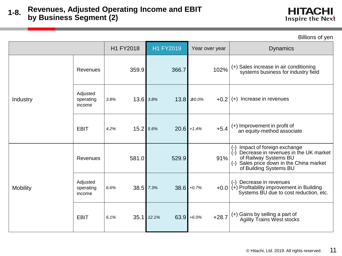|                 |                                 | H1 FY2018           | H1 FY2019  | Year over year            | <b>Dynamics</b>                                                                                                                                                                  |
|-----------------|---------------------------------|---------------------|------------|---------------------------|----------------------------------------------------------------------------------------------------------------------------------------------------------------------------------|
|                 | Revenues                        | 359.9               | 366.7      | 102%                      | (+) Sales increase in air conditioning<br>systems business for industry field                                                                                                    |
| Industry        | Adjusted<br>operating<br>income | 13.6 3.8%<br>3.8%   | 13.8       | ±0.0%<br>$+0.2$           | (+) Increase in revenues                                                                                                                                                         |
|                 | <b>EBIT</b>                     | 15.2 5.6%<br>4.2%   |            | $+5.4$<br>$20.6$ + 1.4%   | (+) Improvement in profit of<br>an equity-method associate                                                                                                                       |
|                 | Revenues                        | 581.0               | 529.9      | 91%                       | Impact of foreign exchange<br>(-)<br>(-)<br>Decrease in revenues in the UK market<br>of Railway Systems BU<br>(-) Sales price down in the China market<br>of Building Systems BU |
| <b>Mobility</b> | Adjusted<br>operating<br>income | $38.5$ 7.3%<br>6.6% |            | $38.6$ +0.7%<br>$+0.0$    | Decrease in revenues<br>$(-)$<br>$(+)$ Profitability improvement in Building<br>Systems BU due to cost reduction, etc.                                                           |
|                 | <b>EBIT</b>                     | 6.1%                | 35.1 12.1% | $+28.7$<br>$63.9 + 6.0\%$ | (+) Gains by selling a part of<br>Agility Trains West stocks                                                                                                                     |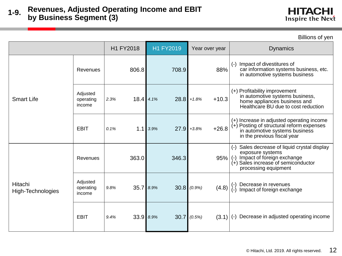H1 FY2018 H1 FY2019 Year over year Dynamics Smart Life Revenues 806.8 708.9 88% (-) Impact of divestitures of car information systems business, etc. in automotive systems business Adjusted operating income *2.3%* 18.4 *4.1%* 28.8 *+1.8%* +10.3 (+) Profitability improvement in automotive systems business, home appliances business and Healthcare BU due to cost reduction EBIT *0.1%* 1.1 *3.9%* 27.9 *+3.8%* +26.8 (+) Increase in adjusted operating income (+) Posting of structural reform expenses in automotive systems business in the previous fiscal year Hitachi High-Technologies Revenues 363.0 346.3 95% (-) Sales decrease of liquid crystal display exposure systems (-) Impact of foreign exchange (+) Sales increase of semiconductor processing equipment Adjusted operating income 9.8% 35.7 8.9% 30.8 (0.9%) (4.8) (-) Decrease in revenues Impact of foreign exchange EBIT *9.4%* 33.9 *8.9%* 30.7 *(0.5%)* (3.1) (-) Decrease in adjusted operating income

HITACHI Inspire the Next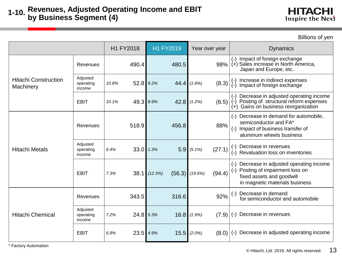H1 FY2018 H1 FY2019 Year over year Dynamics Hitachi Construction **Machinery** Revenues | 490.4 480.5 480.5 Impact of foreign exchange (+) Sales increase in North America, Japan and Europe, etc. Adjusted operating income *10.8%* 52.8 *9.2%* 44.4 *(1.6%)* (8.3) (-) Increase in indirect expenses Impact of foreign exchange EBIT *10.1%* 49.3 *8.9%* 42.8 *(1.2%)* (6.5) (-) Decrease in adjusted operating income Posting of structural reform expenses (+) Gains on business reorganization Hitachi Metals Revenues | 518.9 456.8 88% (-) Decrease in demand for automobile, semiconductor and FA\* (-) Impact of business transfer of aluminum wheels business Adjusted operating income *6.4%* 33.0 *1.3%* 5.9 *(5.1%)* (27.1) (-) Decrease in revenues (-) Revaluation loss on inventories EBIT *7.3%* 38.1 *(12.3%)* (56.3) *(19.6%)* (94.4) (-) Decrease in adjusted operating income (-) Posting of impairment loss on fixed assets and goodwill in magnetic materials business Hitachi Chemical Revenues  $343.5$   $316.6$   $92\%$  ( $\cdot$ ) Decrease in demand for semiconductor and automobile Adjusted operating income *7.2%* 24.8 *5.3%* 16.8 *(1.9%)* (7.9) (-) Decrease in revenues EBIT *6.9%* 23.5 *4.9%* 15.5 *(2.0%)* (8.0) (-) Decrease in adjusted operating income

\* Factory Automation

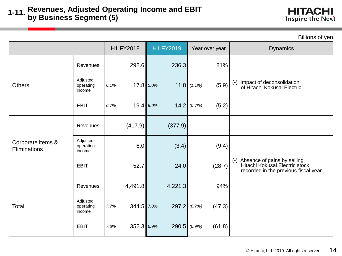| Billions of yen                   |                                 |                    |                |                         |                                                                                                                |  |
|-----------------------------------|---------------------------------|--------------------|----------------|-------------------------|----------------------------------------------------------------------------------------------------------------|--|
|                                   |                                 | H1 FY2018          | H1 FY2019      | Year over year          | <b>Dynamics</b>                                                                                                |  |
|                                   | Revenues                        | 292.6              | 236.3          | 81%                     |                                                                                                                |  |
| <b>Others</b>                     | Adjusted<br>operating<br>income | 17.8 5.0%<br>6.1%  |                | (5.9)<br>11.8 $(1.1\%)$ | (-) Impact of deconsolidation<br>of Hitachi Kokusai Electric                                                   |  |
|                                   | <b>EBIT</b>                     | 19.4 6.0%<br>6.7%  |                | 14.2   (0.7%)<br>(5.2)  |                                                                                                                |  |
|                                   | Revenues                        | (417.9)            | (377.9)        |                         |                                                                                                                |  |
| Corporate items &<br>Eliminations | Adjusted<br>operating<br>income | 6.0                | (3.4)          | (9.4)                   |                                                                                                                |  |
|                                   | <b>EBIT</b>                     | 52.7               | 24.0           | (28.7)                  | Absence of gains by selling<br>$(-)$<br>Hitachi Kokusai Electric stock<br>recorded in the previous fiscal year |  |
|                                   | Revenues                        | 4,491.8            | 4,221.3        | 94%                     |                                                                                                                |  |
| Total                             | Adjusted<br>operating<br>income | 344.5 7.0%<br>7.7% | 297.2   (0.7%) | (47.3)                  |                                                                                                                |  |
|                                   | <b>EBIT</b>                     | 352.3 6.9%<br>7.8% | $290.5$ (0.9%) | (61.8)                  |                                                                                                                |  |

© Hitachi, Ltd. 2019. All rights reserved. 14

**HITACHI** Inspire the Next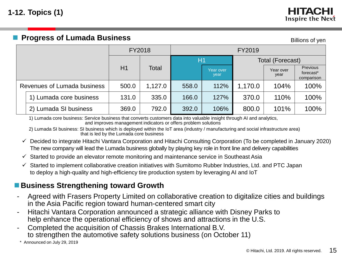### **Progress of Lumada Business** Billions of yen

|  |                             | FY2018 |         | FY2019 |                   |         |                   |                                                 |  |  |
|--|-----------------------------|--------|---------|--------|-------------------|---------|-------------------|-------------------------------------------------|--|--|
|  |                             |        |         | H1     |                   |         | Total (Forecast)  |                                                 |  |  |
|  |                             | H1     | Total   |        | Year over<br>year |         | Year over<br>year | Previous<br>forecast <sup>*</sup><br>comparison |  |  |
|  | Revenues of Lumada business | 500.0  | 1,127.0 | 558.0  | 112%              | 1,170.0 | 104%              | 100%                                            |  |  |
|  | 1) Lumada core business     | 131.0  | 335.0   | 166.0  | 127%              | 370.0   | 110%              | 100%                                            |  |  |
|  | 2) Lumada SI business       | 369.0  | 792.0   | 392.0  | 106%              | 800.0   | 101%              | 100%                                            |  |  |

1) Lumada core business: Service business that converts customers data into valuable insight through AI and analytics, and improves management indicators or offers problem solutions

2) Lumada SI business: SI business which is deployed within the IoT area (industry / manufacturing and social infrastructure area) that is led by the Lumada core business

- $\checkmark$  Decided to integrate Hitachi Vantara Corporation and Hitachi Consulting Corporation (To be completed in January 2020) The new company will lead the Lumada business globally by playing key role in front line and delivery capabilities
- $\checkmark$  Started to provide an elevator remote monitoring and maintenance service in Southeast Asia
- $\checkmark$  Started to implement collaborative creation initiatives with Sumitomo Rubber Industries, Ltd. and PTC Japan to deploy a high-quality and high-efficiency tire production system by leveraging AI and IoT

### ■ Business Strengthening toward Growth

- Agreed with Frasers Property Limited on collaborative creation to digitalize cities and buildings in the Asia Pacific region toward human-centered smart city
- Hitachi Vantara Corporation announced a strategic alliance with Disney Parks to help enhance the operational efficiency of shows and attractions in the U.S.
- Completed the acquisition of Chassis Brakes International B.V. to strengthen the automotive safety solutions business (on October 11)

Announced on July 29, 2019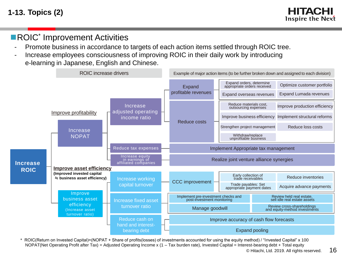**1-13. Topics (2)**

EITACEI Inspire the Next

### **ROIC<sup>\*</sup>** Improvement Activities

- Promote business in accordance to targets of each action items settled through ROIC tree.
- Increase employees consciousness of improving ROIC in their daily work by introducing e-learning in Japanese, English and Chinese.



© Hitachi. Ltd. 2019. All rights reserved.  $16$ \* ROIC(Return on Invested Capital)=(NOPAT + Share of profits(losses) of investments accounted for using the equity method) / "Invested Capital" x 100 NOPAT(Net Operating Profit after Tax) = Adjusted Operating Income x (1 – Tax burden rate), Invested Capital = Interest-bearing debt + Total equity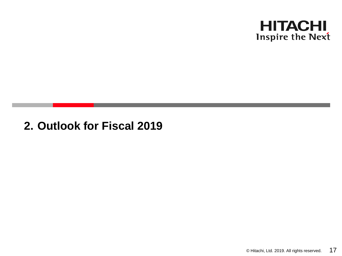

## **2. Outlook for Fiscal 2019**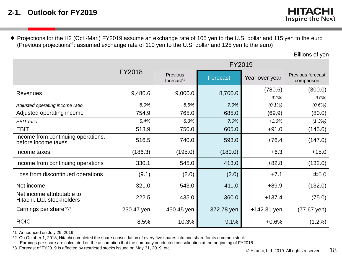Projections for the H2 (Oct.-Mar.) FY2019 assume an exchange rate of 105 yen to the U.S. dollar and 115 yen to the euro (Previous projections\*1: assumed exchange rate of 110 yen to the U.S. dollar and 125 yen to the euro)

Billions of yen

|                                                           |               | FY2019                             |                 |                  |                                        |  |  |  |  |
|-----------------------------------------------------------|---------------|------------------------------------|-----------------|------------------|----------------------------------------|--|--|--|--|
|                                                           | <b>FY2018</b> | Previous<br>forecast <sup>*1</sup> | <b>Forecast</b> | Year over year   | <b>Previous forecast</b><br>comparison |  |  |  |  |
| <b>Revenues</b>                                           | 9,480.6       | 9,000.0                            | 8,700.0         | (780.6)<br>[92%] | (300.0)<br>[97%]                       |  |  |  |  |
| Adjusted operating income ratio                           | 8.0%          | 8.5%                               | 7.9%            | $(0.1\%)$        | (0.6%)                                 |  |  |  |  |
| Adjusted operating income                                 | 754.9         | 765.0                              | 685.0           | (69.9)           | (80.0)                                 |  |  |  |  |
| EBIT ratio                                                | 5.4%          | 8.3%                               | 7.0%            | $+1.6%$          | (1.3%)                                 |  |  |  |  |
| <b>EBIT</b>                                               | 513.9         | 750.0                              | 605.0           | $+91.0$          | (145.0)                                |  |  |  |  |
| Income from continuing operations,<br>before income taxes | 516.5         | 740.0                              | 593.0           | $+76.4$          | (147.0)                                |  |  |  |  |
| Income taxes                                              | (186.3)       | (195.0)                            | (180.0)         | $+6.3$           | $+15.0$                                |  |  |  |  |
| Income from continuing operations                         | 330.1         | 545.0                              | 413.0           | $+82.8$          | (132.0)                                |  |  |  |  |
| Loss from discontinued operations                         | (9.1)         | (2.0)                              | (2.0)           | $+7.1$           | ±0.0                                   |  |  |  |  |
| Net income                                                | 321.0         | 543.0                              | 411.0           | $+89.9$          | (132.0)                                |  |  |  |  |
| Net income attributable to<br>Hitachi, Ltd. stockholders  | 222.5         | 435.0                              | 360.0           | $+137.4$         | (75.0)                                 |  |  |  |  |
| Earnings per share <sup>*2,3</sup>                        | 230.47 yen    | 450.45 yen                         | 372.78 yen      | $+142.31$ yen    | $(77.67 \,\text{yen})$                 |  |  |  |  |
| <b>ROIC</b>                                               | 8.5%          | 10.3%                              | 9.1%            | $+0.6%$          | $(1.2\%)$                              |  |  |  |  |

\*1 Announced on July 29, 2019

\*2 On October 1, 2018, Hitachi completed the share consolidation of every five shares into one share for its common stock. Earnings per share are calculated on the assumption that the company conducted consolidation at the beginning of FY2018.

\*3 Forecast of FY2019 is affected by restricted stocks issued on May 31, 2019, etc.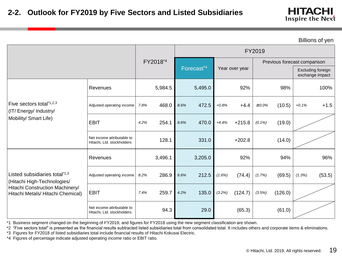Billions of yen

|                                                                      |                                                          |      |          | FY2019 |                                          |         |          |           |                                      |         |                              |
|----------------------------------------------------------------------|----------------------------------------------------------|------|----------|--------|------------------------------------------|---------|----------|-----------|--------------------------------------|---------|------------------------------|
|                                                                      |                                                          |      | FY2018*4 |        |                                          |         |          |           |                                      |         | Previous forecast comparison |
|                                                                      |                                                          |      |          |        | Forecast <sup>*4</sup><br>Year over year |         |          |           | Excluding foreign<br>exchange impact |         |                              |
|                                                                      | Revenues                                                 |      | 5,984.5  |        | 5,495.0                                  |         | 92%      |           | 98%                                  |         | 100%                         |
| Five sectors total*1,2,3<br>(IT/Energy/Industry/                     | Adjusted operating income                                | 7.8% | 468.0    | 8.6%   | 472.5                                    | $+0.8%$ | $+4.4$   | ±0.0%     | (10.5)                               | $+0.1%$ | $+1.5$                       |
| Mobility/ Smart Life)                                                | <b>EBIT</b>                                              | 4.2% | 254.1    | 8.6%   | 470.0                                    | $+4.4%$ | $+215.8$ | $(0.1\%)$ | (19.0)                               |         |                              |
|                                                                      | Net income attributable to<br>Hitachi, Ltd. stockholders |      | 128.1    |        | 331.0                                    |         | $+202.8$ |           | (14.0)                               |         |                              |
|                                                                      | Revenues                                                 |      | 3,496.1  |        | 3,205.0                                  |         | 92%      |           | 94%                                  |         | 96%                          |
| Listed subsidiaries total*1,3<br>(Hitachi High-Technologies/         | Adjusted operating income                                | 8.2% | 286.9    | 6.6%   | 212.5                                    | (1.6%)  | (74.4)   | (1.7%)    | (69.5)                               | (1.3%)  | (53.5)                       |
| Hitachi Construction Machinery/<br>Hitachi Metals/ Hitachi Chemical) | <b>EBIT</b>                                              | 7.4% | 259.7    | 4.2%   | 135.0                                    | (3.2%)  | (124.7)  | (3.5%)    | (126.0)                              |         |                              |
|                                                                      | Net income attributable to<br>Hitachi, Ltd. stockholders |      | 94.3     |        | 29.0                                     |         | (65.3)   |           | (61.0)                               |         |                              |

\*1 Business segment changed on the beginning of FY2019, and figures for FY2018 using the new segment classification are shown.

\*2 "Five sectors total" is presented as the financial results subtracted listed subsidiaries total from consolidated total. It includes others and corporate items & eliminations.

\*3 Figures for FY2018 of listed subsidiaries total include financial results of Hitachi Kokusai Electric.

\*4 Figures of percentage indicate adjusted operating income ratio or EBIT ratio.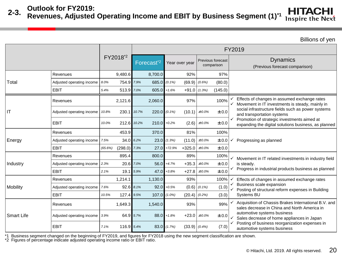### **Outlook for FY2019:**

#### **HITACHI 2-3. Revenues, Adjusted Operating Income and EBIT by Business Segment (1)\*1 Inspire the Next**

Billions of yen

|                        |                           |                           |             |                        |                 |                |           |                                 | FY2019                                                                                               |
|------------------------|---------------------------|---------------------------|-------------|------------------------|-----------------|----------------|-----------|---------------------------------|------------------------------------------------------------------------------------------------------|
|                        |                           | FY2018 <sup>*2</sup>      |             | Forecast <sup>*2</sup> |                 | Year over year |           | Previous forecast<br>comparison | <b>Dynamics</b><br>(Previous forecast comparison)                                                    |
|                        | Revenues                  | 9,480.6                   |             | 8,700.0                |                 | 92%            |           | 97%                             |                                                                                                      |
| Total                  | Adjusted operating income | 754.9 7.9%<br>8.0%        |             | 685.0 $(0.1\%)$        |                 | (69.9)         | $(0.6\%)$ | (80.0)                          |                                                                                                      |
|                        | <b>EBIT</b>               | 513.9 7.0%<br>5.4%        |             | $605.0$ + 1.6%         |                 | $+91.0$        | (1.3%)    | (145.0)                         |                                                                                                      |
|                        | Revenues                  | 2,121.6                   |             | 2,060.0                |                 | 97%            |           | 100%                            | Effects of changes in assumed exchange rates<br>Movement in IT investments is steady, mainly in      |
| $\mathsf{I}\mathsf{T}$ | Adjusted operating income | 10.8%                     | 230.1 10.7% | $220.0$ (0.1%)         |                 | (10.1)         | $±0.0\%$  | ±0.0                            | social infrastructure fields such as power systems<br>and transportation systems                     |
|                        | <b>EBIT</b>               | 10.0%                     | 212.6 10.2% | $210.0 + 0.2%$         |                 | (2.6)          | $±0.0\%$  | ±0.0                            | Promotion of strategic investments aimed at<br>expanding the digital solutions business, as planned  |
|                        | Revenues                  | 453.9                     |             | 370.0                  |                 | 81%            |           | 100%                            |                                                                                                      |
| Energy                 | Adjusted operating income | 7.5%                      | $34.0$ 6.2% |                        | $23.0$ $(1.3%)$ | (11.0)         | ±0.0%     | ±0.0                            | Progressing as planned                                                                               |
|                        | <b>EBIT</b>               | $(298.0)$ 7.3%<br>(65.6%) |             |                        | $27.0$ +72.9%   | $+325.0$       | ±0.0%     | ±0.0                            |                                                                                                      |
|                        | Revenues                  | 895.4                     |             | 800.0                  |                 | 89%            |           | 100%                            | Movement in IT related investments in industry field                                                 |
| Industry               | Adjusted operating income | 2.3%                      | 20.6 7.0%   | 56.0                   | $+4.7%$         | $+35.3$        | ±0.0%     | ±0.0                            | is steady.                                                                                           |
|                        | <b>EBIT</b>               | 19.1<br>2.1%              | 5.9%        | 47.0                   | $+3.8%$         | $+27.8$        | ±0.0%     | ±0.0                            | Progress in industrial products business as planned                                                  |
|                        | Revenues                  | 1,214.1                   |             | 1,130.0                |                 | 93%            |           | 100%                            | Effects of changes in assumed exchange rates                                                         |
| Mobility               | Adjusted operating income | 92.6<br>7.6%              | 8.1%        |                        | $92.0 + 0.5%$   | (0.6)          | $(0.1\%)$ | (1.0)                           | Business scale expansion<br>Posting of structural reform expenses in Building                        |
|                        | <b>EBIT</b>               | 127.4 9.5%<br>10.5%       |             | $107.0$ $(1.0\%)$      |                 | (20.4)         | (0.2%)    | (3.0)                           | Systems BU                                                                                           |
|                        | Revenues                  | 1,649.3                   |             | 1,540.0                |                 | 93%            |           | 99%                             | Acquisition of Chassis Brakes International B.V. and<br>sales decrease in China and North America in |
| <b>Smart Life</b>      | Adjusted operating income | 3.9%                      | 64.9 5.7%   | 88.0                   | $+1.8%$         | $+23.0$        | ±0.0%     | ±0.0                            | automotive systems business<br>Sales decrease of home appliances in Japan                            |
|                        | <b>EBIT</b>               | 7.1%<br>116.9             | 5.4%        |                        | $83.0$ $(1.7%)$ | (33.9)         | (0.4%     | (7.0)                           | Posting of business reorganization expenses in<br>automotive systems business                        |

\*1 Business segment changed on the beginning of FY2019, and figures for FY2018 using the new segment classification are shown.

\*2 Figures of percentage indicate adjusted operating income ratio or EBIT ratio.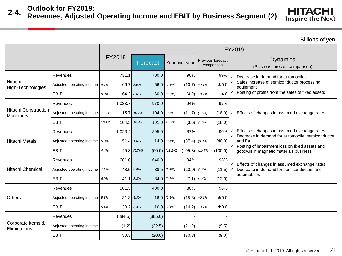#### **2-4. Outlook for FY2019:**

### **Revenues, Adjusted Operating Income and EBIT by Business Segment (2)**

**HITACHI** Inspire the Next

|                                          |                           |                      |                  | FY2019           |                 |                  |                                 |   |                                                                                                        |  |  |  |  |  |
|------------------------------------------|---------------------------|----------------------|------------------|------------------|-----------------|------------------|---------------------------------|---|--------------------------------------------------------------------------------------------------------|--|--|--|--|--|
|                                          |                           | FY2018               | Forecast         | Year over year   |                 |                  | Previous forecast<br>comparison |   | <b>Dynamics</b><br>(Previous forecast comparison)                                                      |  |  |  |  |  |
|                                          | Revenues                  | 731.1                | 700.0            |                  | 96%             |                  | 99%                             | ✓ | Decrease in demand for automobiles                                                                     |  |  |  |  |  |
| Hitachi<br>High-Technologies             | Adjusted operating income | 66.7<br>9.1%         | 8.0%             | $56.0$ $(1.1\%)$ | (10.7)          | $+0.1%$          | ±0.0                            |   | Sales increase of semiconductor processing<br>equipment                                                |  |  |  |  |  |
|                                          | <b>EBIT</b>               | 8.8%                 | 64.2 8.6%        | $60.0$ $(0.2%)$  | (4.2)           | $+0.7%$          | $+4.0$                          |   | $\checkmark$ Posting of profits from the sales of fixed assets                                         |  |  |  |  |  |
|                                          | Revenues                  | 1,033.7              | 970.0            |                  | 94%             |                  | 97%                             |   |                                                                                                        |  |  |  |  |  |
| <b>Hitachi Construction</b><br>Machinery | Adjusted operating income | 115.7 10.7%<br>11.2% |                  | $104.0$ $(0.5%)$ | $(11.7)$ (1.5%) |                  | (18.0)                          |   | Effects of changes in assumed exchange rates                                                           |  |  |  |  |  |
|                                          | <b>EBIT</b>               | 104.5 10.4%<br>10.1% |                  | $101.0 + 0.3%$   | (3.5)           | (1.5%)           | (18.0)                          |   |                                                                                                        |  |  |  |  |  |
|                                          | Revenues                  | 1,023.4              | 895.0            |                  | 87%             |                  | 90%                             | ✓ | Effects of changes in assumed exchange rates<br>Decrease in demand for automobile, semiconductor,      |  |  |  |  |  |
| <b>Hitachi Metals</b>                    | Adjusted operating income | 5.0%                 | 51.4 1.6%        | $14.0$ (3.4%)    | (37.4)          | (3.8%)           | (40.0)                          |   | and FA                                                                                                 |  |  |  |  |  |
|                                          | <b>EBIT</b>               | 45.3<br>4.4%         | (6.7%)<br>(60.0) | $(11.1\%)$       | (105.3)         | (10.7%)          | (100.0)                         |   | $\checkmark$ Posting of impairment loss on fixed assets and<br>goodwill in magnetic materials business |  |  |  |  |  |
|                                          | Revenues                  | 681.0                | 640.0            |                  | 94%             |                  | 93%                             | ✓ | Effects of changes in assumed exchange rates                                                           |  |  |  |  |  |
| <b>Hitachi Chemical</b>                  | Adjusted operating income | 7.1%                 | 48.5 6.0%        | $38.5$ $(1.1\%)$ | (10.0)          | $(1.2\%)$        | (11.5)                          |   | Decrease in demand for semiconductors and                                                              |  |  |  |  |  |
|                                          | <b>EBIT</b>               | 6.0%                 | $41.1$ 5.3%      | $34.0$ $(0.7%)$  |                 | $(7.1)$ $(1.4%)$ | (12.0)                          |   | automobiles                                                                                            |  |  |  |  |  |
|                                          | Revenues                  | 561.3                | 480.0            |                  | 86%             |                  | 96%                             |   |                                                                                                        |  |  |  |  |  |
| Others                                   | Adjusted operating income | 31.3<br>5.6%         | 3.3%             | $16.0$ $(2.3%)$  | (15.3)          | $+0.1%$          | ±0.0                            |   |                                                                                                        |  |  |  |  |  |
|                                          | <b>EBIT</b>               | 5.4%                 | $30.2$ 3.3%      | $16.0$ $(2.1%)$  | (14.2)          | $+0.1%$          | ±0.0                            |   |                                                                                                        |  |  |  |  |  |
|                                          | Revenues                  | (884.5)              | (885.0)          |                  |                 |                  |                                 |   |                                                                                                        |  |  |  |  |  |
| Corporate items &<br>Eliminations        | Adjusted operating income | (1.2)                | (22.5)           |                  | (21.2)          |                  | (9.5)                           |   |                                                                                                        |  |  |  |  |  |
|                                          | <b>EBIT</b>               | 50.3                 | (20.0)           |                  | (70.3)          |                  | (9.0)                           |   |                                                                                                        |  |  |  |  |  |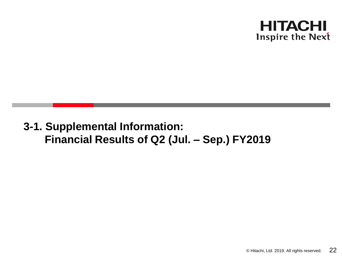

# **3-1. Supplemental Information: Financial Results of Q2 (Jul. – Sep.) FY2019**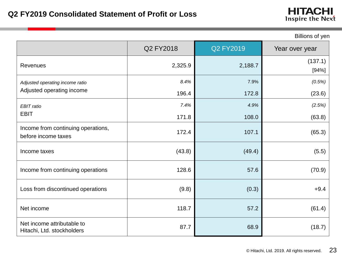|                                                           | Q2 FY2018 | <b>Q2 FY2019</b> | Year over year   |
|-----------------------------------------------------------|-----------|------------------|------------------|
| <b>Revenues</b>                                           | 2,325.9   | 2,188.7          | (137.1)<br>[94%] |
| Adjusted operating income ratio                           | 8.4%      | 7.9%             | (0.5%)           |
| Adjusted operating income                                 | 196.4     | 172.8            | (23.6)           |
| EBIT ratio                                                | 7.4%      | 4.9%             | (2.5%)           |
| <b>EBIT</b>                                               | 171.8     | 108.0            | (63.8)           |
| Income from continuing operations,<br>before income taxes | 172.4     | 107.1            | (65.3)           |
| Income taxes                                              | (43.8)    | (49.4)           | (5.5)            |
| Income from continuing operations                         | 128.6     | 57.6             | (70.9)           |
| Loss from discontinued operations                         | (9.8)     | (0.3)            | $+9.4$           |
| Net income                                                | 118.7     | 57.2             | (61.4)           |
| Net income attributable to<br>Hitachi, Ltd. stockholders  | 87.7      | 68.9             | (18.7)           |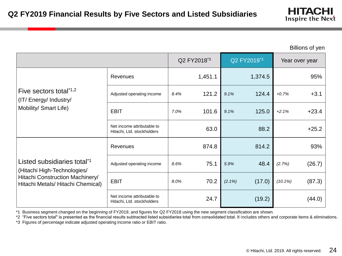Billions of yen

|                                                                        |                                                          |      | Q2 FY2018 <sup>*3</sup> |           | Q2 FY2019 <sup>*3</sup> |            | Year over year |
|------------------------------------------------------------------------|----------------------------------------------------------|------|-------------------------|-----------|-------------------------|------------|----------------|
|                                                                        | Revenues                                                 |      | 1,451.1                 |           | 1,374.5                 |            | 95%            |
| Five sectors total*1,2<br>(IT/Energy/Industry/                         | Adjusted operating income                                | 8.4% | 121.2                   | 9.1%      | 124.4                   | $+0.7%$    | $+3.1$         |
| Mobility/ Smart Life)                                                  | <b>EBIT</b>                                              | 7.0% | 101.6                   | 9.1%      | 125.0                   | $+2.1%$    | $+23.4$        |
|                                                                        | Net income attributable to<br>Hitachi, Ltd. stockholders |      | 63.0                    |           | 88.2                    |            | $+25.2$        |
|                                                                        | Revenues                                                 |      | 874.8                   |           | 814.2                   |            | 93%            |
| Listed subsidiaries total <sup>*1</sup><br>(Hitachi High-Technologies/ | Adjusted operating income                                | 8.6% | 75.1                    | 5.9%      | 48.4                    | (2.7%)     | (26.7)         |
| Hitachi Construction Machinery/<br>Hitachi Metals/ Hitachi Chemical)   | <b>EBIT</b>                                              | 8.0% | 70.2                    | $(2.1\%)$ | (17.0)                  | $(10.1\%)$ | (87.3)         |
|                                                                        | Net income attributable to<br>Hitachi, Ltd. stockholders |      | 24.7                    |           | (19.2)                  |            | (44.0)         |

\*1 Business segment changed on the beginning of FY2019, and figures for Q2 FY2018 using the new segment classification are shown.

\*2 "Five sectors total" is presented as the financial results subtracted listed subsidiaries total from consolidated total. It includes others and corporate items & eliminations. \*3 Figures of percentage indicate adjusted operating income ratio or EBIT ratio.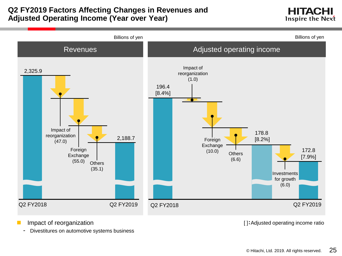### **Q2 FY2019 Factors Affecting Changes in Revenues and Adjusted Operating Income (Year over Year)**

HITACHI **Inspire the Next** 



- - Divestitures on automotive systems business

Impact of reorganization  $[ ]:$ Adjusted operating income ratio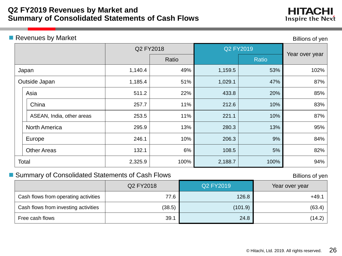### **Q2 FY2019 Revenues by Market and Summary of Consolidated Statements of Cash Flows**

### **Revenues by Market Community Community** Revenues by Market Community Community Revenues of yen

|                           | Q2 FY2018 |       | Q2 FY2019 |              | Year over year |
|---------------------------|-----------|-------|-----------|--------------|----------------|
|                           |           | Ratio |           | <b>Ratio</b> |                |
| Japan                     | 1,140.4   | 49%   | 1,159.5   | 53%          | 102%           |
| Outside Japan             | 1,185.4   | 51%   | 1,029.1   | 47%          | 87%            |
| Asia                      | 511.2     | 22%   | 433.8     | 20%          | 85%            |
| China                     | 257.7     | 11%   | 212.6     | 10%          | 83%            |
| ASEAN, India, other areas | 253.5     | 11%   | 221.1     | 10%          | 87%            |
| <b>North America</b>      | 295.9     | 13%   | 280.3     | 13%          | 95%            |
| Europe                    | 246.1     | 10%   | 206.3     | 9%           | 84%            |
| <b>Other Areas</b>        | 132.1     | 6%    | 108.5     | 5%           | 82%            |
| Total                     | 2,325.9   | 100%  | 2,188.7   | 100%         | 94%            |
|                           |           |       |           |              |                |

### ■ Summary of Consolidated Statements of Cash Flows **Billions** of yen

|                                      | Q2 FY2018 | Q2 FY2019 | Year over year |
|--------------------------------------|-----------|-----------|----------------|
| Cash flows from operating activities | 77.6      | 126.8     | $+49.1$        |
| Cash flows from investing activities | (38.5)    | (101.9)   | (63.4)         |
| Free cash flows                      | 39.1      | 24.8      | (14.2)         |

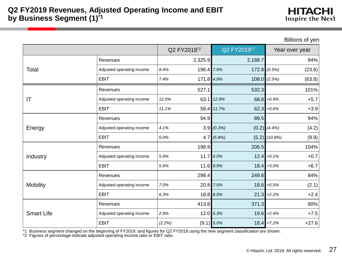Billions of yen

|                   |                           |        | Q2 FY2018 <sup>*2</sup> | Q2 FY2019 <sup>*2</sup> |         |                   | .<br>Year over year |
|-------------------|---------------------------|--------|-------------------------|-------------------------|---------|-------------------|---------------------|
|                   | Revenues                  |        | 2,325.9                 |                         | 2,188.7 |                   | 94%                 |
| Total             | Adjusted operating income | 8.4%   | 196.4 7.9%              |                         |         | $172.8$ $(0.5%)$  | (23.6)              |
|                   | <b>EBIT</b>               | 7.4%   | 171.8 4.9%              |                         |         | $108.0$ (2.5%)    | (63.8)              |
|                   | Revenues                  |        | 527.1                   |                         | 532.3   |                   | 101%                |
| IT                | Adjusted operating income | 12.0%  |                         | 63.1 12.9%              |         | $68.8 + 0.9%$     | $+5.7$              |
|                   | <b>EBIT</b>               | 11.1%  |                         | 58.4 11.7%              |         | $62.3 + 0.6%$     | $+3.9$              |
|                   | Revenues                  |        | 94.9                    |                         | 89.5    |                   | 94%                 |
| Energy            | Adjusted operating income | 4.1%   |                         | 3.9(0.3%)               |         | $(0.2)$ $(4.4\%)$ | (4.2)               |
|                   | <b>EBIT</b>               | 5.0%   |                         | $4.7$ (5.8%)            |         | $(5.2)$ $(10.8%)$ | (9.9)               |
|                   | Revenues                  |        | 198.9                   |                         | 206.5   |                   | 104%                |
| Industry          | Adjusted operating income | 5.9%   |                         | 11.7 6.0%               |         | $12.4 + 0.1%$     | $+0.7$              |
|                   | <b>EBIT</b>               | 5.9%   |                         | 11.6 8.9%               |         | $18.4 + 3.0\%$    | $+6.7$              |
|                   | Revenues                  |        | 298.4                   |                         | 249.6   |                   | 84%                 |
| <b>Mobility</b>   | Adjusted operating income | 7.0%   |                         | 20.8 7.5%               |         | $18.6 + 0.5%$     | (2.1)               |
|                   | <b>EBIT</b>               | 6.3%   |                         | 18.8 8.5%               |         | $21.3 + 2.2%$     | $+2.4$              |
|                   | Revenues                  |        | 413.8                   |                         | 371.3   |                   | 90%                 |
| <b>Smart Life</b> | Adjusted operating income | 2.9%   |                         | 12.0 5.3%               |         | $19.6 + 2.4%$     | $+7.5$              |
|                   | <b>EBIT</b>               | (2.2%) |                         | $(9.1) 5.0\%$           |         | $18.4$ +7.2%      | $+27.6$             |

\*1 Business segment changed on the beginning of FY2019, and figures for Q2 FY2018 using the new segment classification are shown.

\*2 Figures of percentage indicate adjusted operating income ratio or EBIT ratio.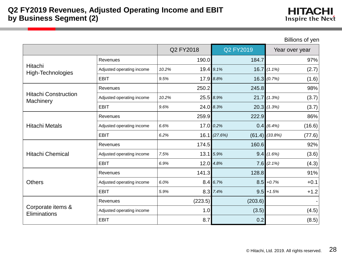| <b>HITACHI</b>   |  |
|------------------|--|
| Inspire the Next |  |

Billions of yen

Q2 FY2018 Q2 FY2019 Year over year Hitachi High-Technologies Revenues 190.0 190.0 184.7 Adjusted operating income *10.2%* 19.4 *9.1%* 16.7 *(1.1%)* (2.7) EBIT *9.5%* 17.9 *8.8%* 16.3 *(0.7%)* (1.6) Hitachi Construction **Machinery** Revenues  $250.2$  245.8 98% Adjusted operating income *10.2%* 25.5 *8.9%* 21.7 *(1.3%)* (3.7) EBIT *9.6%* 24.0 *8.3%* 20.3 *(1.3%)* (3.7) Hitachi Metals Revenues 259.9 259.9 222.9 Adjusted operating income *6.6%* 17.0 *0.2%* 0.4 *(6.4%)* (16.6) EBIT *6.2%* 16.1 *(27.6%)* (61.4) *(33.8%)* (77.6) Hitachi Chemical Revenues  $174.5$  174.5 160.6 Adjusted operating income *7.5%* 13.1 *5.9%* 9.4 *(1.6%)* (3.6) EBIT *6.9%* 12.0 *4.8%* 7.6 *(2.1%)* (4.3) **Others** Revenues 141.3 128.8 91% Adjusted operating income *6.0%* 8.4 *6.7%* 8.5 *+0.7%* +0.1 EBIT *5.9%* 8.3 *7.4%* 9.5 *+1.5%* +1.2 Corporate items & **Eliminations** Revenues (223.5) (223.5) (203.6) Adjusted operating income  $(4.5)$ EBIT  $8.7$  0.2 (8.5)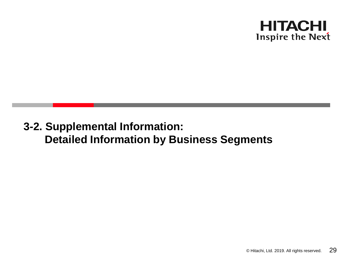

# **3-2. Supplemental Information: Detailed Information by Business Segments**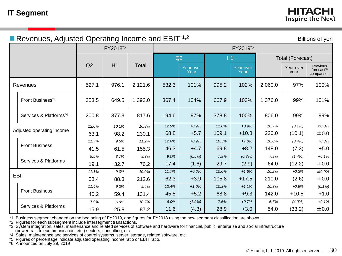| Revenues, Adjusted Operating Income and $EBIT*1,2$<br>Billions of yen |       |                      |              |       |                   |       |                      |         |                         |                                                  |  |
|-----------------------------------------------------------------------|-------|----------------------|--------------|-------|-------------------|-------|----------------------|---------|-------------------------|--------------------------------------------------|--|
|                                                                       |       | FY2018 <sup>*5</sup> |              |       |                   |       | FY2019 <sup>*5</sup> |         |                         |                                                  |  |
|                                                                       |       |                      |              |       | Q2                | H1    |                      |         | <b>Total (Forecast)</b> |                                                  |  |
|                                                                       | Q2    | H1                   | <b>Total</b> |       | Year over<br>Year |       | Year over<br>Year    |         | Year over<br>year       | Previous<br>forecast <sup>*6</sup><br>comparison |  |
| Revenues                                                              | 527.1 | 976.1                | 2,121.6      | 532.3 | 101%              | 995.2 | 102%                 | 2,060.0 | 97%                     | 100%                                             |  |
| Front Business <sup>*3</sup>                                          | 353.5 | 649.5                | 1,393.0      | 367.4 | 104%              | 667.9 | 103%                 | 1,376.0 | 99%                     | 101%                                             |  |
| Services & Platforms*4                                                | 200.8 | 377.3                | 817.6        | 194.6 | 97%               | 378.8 | 100%                 | 806.0   | 99%                     | 99%                                              |  |
| Adjusted operating income                                             | 12.0% | 10.1%                | 10.8%        | 12.9% | $+0.9%$           | 11.0% | $+0.9%$              | 10.7%   | $(0.1\%)$               | $±0.0\%$                                         |  |
|                                                                       | 63.1  | 98.2                 | 230.1        | 68.8  | $+5.7$            | 109.1 | $+10.8$              | 220.0   | (10.1)                  | ±0.0                                             |  |
| <b>Front Business</b>                                                 | 11.7% | 9.5%                 | 11.2%        | 12.6% | $+0.9%$           | 10.5% | $+1.0%$              | 10.8%   | (0.4%                   | $+0.3%$                                          |  |
|                                                                       | 41.5  | 61.5                 | 155.3        | 46.3  | $+4.7$            | 69.8  | $+8.2$               | 148.0   | (7.3)                   | $+5.0$                                           |  |
|                                                                       | 9.5%  | 8.7%                 | 9.3%         | 9.0%  | (0.5%)            | 7.9%  | (0.8%)               | 7.9%    | $(1.4\%)$               | $+0.1%$                                          |  |
| Services & Platforms                                                  | 19.1  | 32.7                 | 76.2         | 17.4  | (1.6)             | 29.7  | (2.9)                | 64.0    | (12.2)                  | ±0.0                                             |  |
|                                                                       | 11.1% | 9.0%                 | 10.0%        | 11.7% | $+0.6%$           | 10.6% | $+1.6%$              | 10.2%   | $+0.2%$                 | $±0.0\%$                                         |  |
| <b>EBIT</b>                                                           | 58.4  | 88.3                 | 212.6        | 62.3  | $+3.9$            | 105.8 | $+17.5$              | 210.0   | (2.6)                   | ±0.0                                             |  |
|                                                                       | 11.4% | 9.2%                 | 9.4%         | 12.4% | $+1.0%$           | 10.3% | $+1.1%$              | 10.3%   | $+0.9%$                 | $(0.1\%)$                                        |  |
| <b>Front Business</b>                                                 | 40.2  | 59.4                 | 131.4        | 45.5  | $+5.2$            | 68.8  | $+9.3$               | 142.0   | $+10.5$                 | $+1.0$                                           |  |
|                                                                       | 7.9%  | 6.9%                 | 10.7%        | 6.0%  | (1.9%)            | 7.6%  | $+0.7%$              | 6.7%    | $(4.0\%)$               | $+0.1%$                                          |  |
| Services & Platforms                                                  | 15.9  | 25.8                 | 87.2         | 11.6  | (4.3)             | 28.9  | $+3.0$               | 54.0    | (33.2)                  | ±0.0                                             |  |

\*1 Business segment changed on the beginning of FY2019, and figures for FY2018 using the new segment classification are shown.

\*2 Figures for each subsegment include intersegment transactions.

\*3 System integration, sales, maintenance and related services of software and hardware for financial, public, enterprise and social infrastructure (power, rail, telecommunication, etc.) sectors, consulting, etc.

\*4 Sales, maintenance and services of control systems, server, storage, related software, etc.

\*5 Figures of percentage indicate adjusted operating income ratio or EBIT ratio.

\*6 Announced on July 29, 2019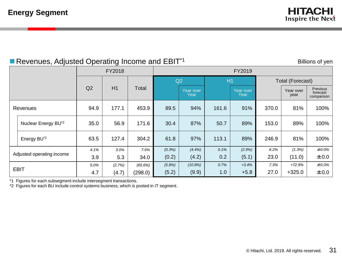### Revenues, Adjusted Operating Income and EBIT<sup>\*1</sup>

Billions of yen

|          | ت-                              |      |        |         |        |                   |       |                   |                         |                   |                                    |  |  |
|----------|---------------------------------|------|--------|---------|--------|-------------------|-------|-------------------|-------------------------|-------------------|------------------------------------|--|--|
|          |                                 |      | FY2018 |         |        |                   |       | FY2019            |                         |                   |                                    |  |  |
|          |                                 |      |        | Total   |        | Q2                | H1    |                   | <b>Total (Forecast)</b> |                   |                                    |  |  |
|          |                                 | Q2   | H1     |         |        | Year over<br>Year |       | Year over<br>Year |                         | Year over<br>year | Previous<br>forecast<br>comparison |  |  |
| Revenues |                                 | 94.9 | 177.1  | 453.9   | 89.5   | 94%               | 161.6 | 91%               | 370.0                   | 81%               | 100%                               |  |  |
|          | Nuclear Energy BU <sup>*2</sup> | 35.0 | 56.9   | 171.6   | 30.4   | 87%               | 50.7  | 89%               | 153.0                   | 89%               | 100%                               |  |  |
|          | Energy BU <sup>*2</sup>         | 63.5 | 127.4  | 304.2   | 61.8   | 97%               | 113.1 | 89%               | 246.9                   | 81%               | 100%                               |  |  |
|          |                                 | 4.1% | 3.0%   | 7.5%    | (0.3%) | (4.4%)            | 0.1%  | (2.9%)            | 6.2%                    | (1.3%)            | $±0.0\%$                           |  |  |
|          | Adjusted operating income       | 3.9  | 5.3    | 34.0    | (0.2)  | (4.2)             | 0.2   | (5.1)             | 23.0                    | (11.0)            | ±0.0                               |  |  |
|          |                                 | 5.0% | (2.7%) | (65.6%) | (5.8%) | (10.8%)           | 0.7%  | $+3.4%$           | 7.3%                    | $+72.9%$          | $±0.0\%$                           |  |  |
|          | <b>EBIT</b>                     | 4.7  | (4.7)  | (298.0) | (5.2)  | (9.9)             | 1.0   | $+5.8$            | 27.0                    | $+325.0$          | ±0.0                               |  |  |

\*1 Figures for each subsegment include intersegment transactions.

\*2 Figures for each BU include control systems business, which is posted in IT segment.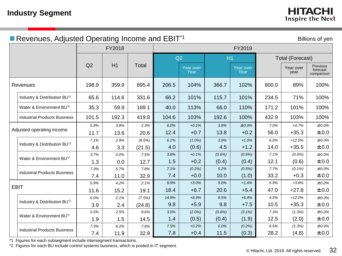|  | Revenues, Adjusted Operating Income and EBIT <sup>*1</sup><br>Billions of yen |       |        |        |       |                   |        |                   |       |                         |                                    |  |  |
|--|-------------------------------------------------------------------------------|-------|--------|--------|-------|-------------------|--------|-------------------|-------|-------------------------|------------------------------------|--|--|
|  |                                                                               |       | FY2018 |        |       |                   |        |                   |       |                         |                                    |  |  |
|  |                                                                               |       |        |        |       | Q2<br>H1          |        |                   |       | <b>Total (Forecast)</b> |                                    |  |  |
|  |                                                                               | Q2    | H1     | Total  |       | Year over<br>Year |        | Year over<br>Year |       | Year over<br>year       | Previous<br>forecast<br>comparison |  |  |
|  | Revenues                                                                      | 198.9 | 359.9  | 895.4  | 206.5 | 104%              | 366.7  | 102%              | 800.0 | 89%                     | 100%                               |  |  |
|  | Industry & Distribution BU <sup>*2</sup>                                      | 65.6  | 114.6  | 331.6  | 66.2  | 101%              | 115.7  | 101%              | 234.5 | 71%                     | 100%                               |  |  |
|  | Water & Environment BU <sup>*2</sup>                                          | 35.3  | 59.9   | 169.1  | 40.0  | 113%              | 66.0   | 110%              | 171.2 | 101%                    | 100%                               |  |  |
|  | <b>Industrial Products Business</b>                                           | 101.5 | 192.3  | 419.8  | 104.6 | 103%              | 192.6  | 100%              | 432.9 | 103%                    | 100%                               |  |  |
|  |                                                                               | 5.9%  | 3.8%   | 2.3%   | 6.0%  | $+0.1%$           | 3.8%   | ±0.0%             | 7.0%  | $+4.7%$                 | $±0.0\%$                           |  |  |
|  | Adjusted operating income                                                     | 11.7  | 13.6   | 20.6   | 12.4  | $+0.7$            | 13.8   | $+0.2$            | 56.0  | $+35.3$                 | ±0.0                               |  |  |
|  | Industry & Distribution BU <sup>*2</sup>                                      | 7.1%  | 2.9%   | (6.5%) | 6.1%  | $(1.0\%)$         | 3.9%   | $+1.0%$           | 6.0%  | $+12.5%$                | $±0.0\%$                           |  |  |
|  |                                                                               | 4.6   | 3.3    | (21.5) | 4.0   | (0.6)             | 4.5    | $+1.2$            | 14.0  | $+35.5$                 | ±0.0                               |  |  |
|  |                                                                               | 3.7%  | 0.0%   | 7.5%   | 3.8%  | $+0.1%$           | (0.6%) | (0.6%)            | 7.1%  | (0.4%)                  | ±0.0%                              |  |  |
|  | Water & Environment BU <sup>*2</sup>                                          | 1.3   | 0.0    | 12.7   | 1.5   | $+0.2$            | (0.4)  | (0.4)             | 12.1  | (0.6)                   | ±0.0                               |  |  |
|  | <b>Industrial Products Business</b>                                           | 7.3%  | 5.7%   | 7.8%   | 7.1%  | (0.2%)            | 5.2%   | (0.5%)            | 7.7%  | $(0.1\%)$               | $±0.0\%$                           |  |  |
|  |                                                                               | 7.4   | 11.0   | 32.9   | 7.4   | $+0.0$            | 10.0   | (1.0)             | 33.2  | $+0.3$                  | ±0.0                               |  |  |
|  | <b>EBIT</b>                                                                   | 5.9%  | 4.2%   | 2.1%   | 8.9%  | $+3.0%$           | 5.6%   | $+1.4%$           | 5.9%  | $+3.8%$                 | ±0.0%                              |  |  |
|  |                                                                               | 11.6  | 15.2   | 19.1   | 18.4  | $+6.7$            | 20.6   | $+5.4$            | 47.0  | $+27.8$                 | ±0.0                               |  |  |
|  |                                                                               | 6.0%  | 2.1%   | (7.5%) | 14.9% | $+8.9%$           | 8.5%   | $+6.4%$           | 4.5%  | $+12.0%$                | ±0.0%                              |  |  |
|  | Industry & Distribution BU <sup>*2</sup>                                      | 3.9   | 2.4    | (24.8) | 9.8   | $+5.9$            | 9.8    | $+7.5$            | 10.5  | $+35.3$                 | ±0.0                               |  |  |
|  | Water & Environment BU <sup>*2</sup>                                          | 5.5%  | 2.5%   | 8.6%   | 3.5%  | $(2.0\%)$         | (0.6%) | $(3.1\%)$         | 7.3%  | (1.3%)                  | $±0.0\%$                           |  |  |
|  |                                                                               | 1.9   | 1.5    | 14.5   | 1.4   | (0.5)             | (0.4)  | (1.9)             | 12.5  | (2.0)                   | ±0.0                               |  |  |
|  | <b>Industrial Products Business</b>                                           | 7.3%  | 6.2%   | 7.8%   | 7.5%  | $+0.2%$           | 6.0%   | (0.2%)            | 6.5%  | (1.3%)                  | $±0.0\%$                           |  |  |
|  |                                                                               | 7.4   | 11.9   | 32.9   | 7.8   | $+0.4$            | 11.5   | (0.3)             | 28.2  | (4.8)                   | ±0.0                               |  |  |

\*1 Figures for each subsegment include intersegment transactions.

\*2 Figures for each BU include control systems business, which is posted in IT segment.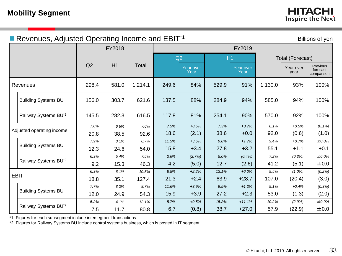| Revenues, Adjusted Operating Income and EBIT <sup>*1</sup><br>Billions of yen |       |        |         |       |                   |       |                   |         |                         |                                    |  |
|-------------------------------------------------------------------------------|-------|--------|---------|-------|-------------------|-------|-------------------|---------|-------------------------|------------------------------------|--|
|                                                                               |       | FY2018 |         |       |                   |       | FY2019            |         |                         |                                    |  |
|                                                                               |       |        |         |       | Q2                | H1    |                   |         | <b>Total (Forecast)</b> |                                    |  |
|                                                                               | Q2    | H1     | Total   |       | Year over<br>Year |       | Year over<br>Year |         | Year over<br>year       | Previous<br>forecast<br>comparison |  |
| Revenues                                                                      | 298.4 | 581.0  | 1,214.1 | 249.6 | 84%               | 529.9 | 91%               | 1,130.0 | 93%                     | 100%                               |  |
| <b>Building Systems BU</b>                                                    | 156.0 | 303.7  | 621.6   | 137.5 | 88%               | 284.9 | 94%               | 585.0   | 94%                     | 100%                               |  |
| Railway Systems BU <sup>*2</sup>                                              | 145.5 | 282.3  | 616.5   | 117.8 | 81%               | 254.1 | 90%               | 570.0   | 92%                     | 100%                               |  |
|                                                                               | 7.0%  | 6.6%   | 7.6%    | 7.5%  | $+0.5%$           | 7.3%  | $+0.7%$           | 8.1%    | $+0.5%$                 | $(0.1\%)$                          |  |
| Adjusted operating income                                                     | 20.8  | 38.5   | 92.6    | 18.6  | (2.1)             | 38.6  | $+0.0$            | 92.0    | (0.6)                   | (1.0)                              |  |
| <b>Building Systems BU</b>                                                    | 7.9%  | 8.1%   | 8.7%    | 11.5% | $+3.6%$           | 9.8%  | $+1.7%$           | 9.4%    | $+0.7%$                 | ±0.0%                              |  |
|                                                                               | 12.3  | 24.6   | 54.0    | 15.8  | $+3.4$            | 27.8  | $+3.2$            | 55.1    | $+1.1$                  | $+0.1$                             |  |
|                                                                               | 6.3%  | 5.4%   | 7.5%    | 3.6%  | (2.7%)            | 5.0%  | (0.4%)            | 7.2%    | (0.3%)                  | $±0.0\%$                           |  |
| Railway Systems BU <sup>*2</sup>                                              | 9.2   | 15.3   | 46.3    | 4.2   | (5.0)             | 12.7  | (2.6)             | 41.2    | (5.1)                   | ±0.0                               |  |
|                                                                               | 6.3%  | 6.1%   | 10.5%   | 8.5%  | $+2.2%$           | 12.1% | $+6.0%$           | 9.5%    | $(1.0\%)$               | (0.2%)                             |  |
| <b>EBIT</b>                                                                   | 18.8  | 35.1   | 127.4   | 21.3  | $+2.4$            | 63.9  | $+28.7$           | 107.0   | (20.4)                  | (3.0)                              |  |
|                                                                               | 7.7%  | 8.2%   | 8.7%    | 11.6% | $+3.9%$           | 9.5%  | $+1.3%$           | 9.1%    | $+0.4%$                 | (0.3%)                             |  |
| <b>Building Systems BU</b>                                                    | 12.0  | 24.9   | 54.3    | 15.9  | $+3.9$            | 27.2  | $+2.3$            | 53.0    | (1.3)                   | (2.0)                              |  |
|                                                                               | 5.2%  | 4.1%   | 13.1%   | 5.7%  | $+0.5%$           | 15.2% | $+11.1%$          | 10.2%   | (2.9%)                  | $±0.0\%$                           |  |
| Railway Systems BU <sup>*2</sup>                                              | 7.5   | 11.7   | 80.8    | 6.7   | (0.8)             | 38.7  | $+27.0$           | 57.9    | (22.9)                  | ±0.0                               |  |

\*1 Figures for each subsegment include intersegment transactions.

\*2 Figures for Railway Systems BU include control systems business, which is posted in IT segment.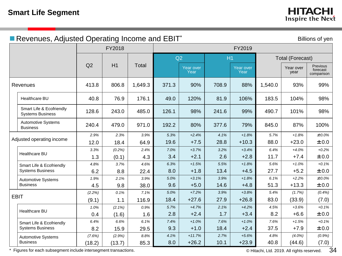|                                                     | Revenues, Adjusted Operating Income and EBIT*<br>Billions of yen |           |         |       |                   |       |                   |         |                         |                                    |  |  |  |
|-----------------------------------------------------|------------------------------------------------------------------|-----------|---------|-------|-------------------|-------|-------------------|---------|-------------------------|------------------------------------|--|--|--|
|                                                     |                                                                  | FY2018    |         |       |                   |       | FY2019            |         |                         |                                    |  |  |  |
|                                                     |                                                                  |           |         | Q2    |                   | H1    |                   |         | <b>Total (Forecast)</b> |                                    |  |  |  |
|                                                     | Q2                                                               | H1        | Total   |       | Year over<br>Year |       | Year over<br>Year |         | Year over<br>year       | Previous<br>forecast<br>comparison |  |  |  |
| Revenues                                            | 413.8                                                            | 806.8     | 1,649.3 | 371.3 | 90%               | 708.9 | 88%               | 1,540.0 | 93%                     | 99%                                |  |  |  |
| Healthcare BU                                       | 40.8                                                             | 76.9      | 176.1   | 49.0  | 120%              | 81.9  | 106%              | 183.5   | 104%                    | 98%                                |  |  |  |
| Smart Life & Ecofriendly<br><b>Systems Business</b> | 128.6                                                            | 243.0     | 485.0   | 126.1 | 98%               | 241.6 | 99%               | 490.7   | 101%                    | 98%                                |  |  |  |
| <b>Automotive Systems</b><br><b>Business</b>        | 240.4                                                            | 479.0     | 971.0   | 192.2 | 80%               | 377.6 | 79%               | 845.0   | 87%                     | 100%                               |  |  |  |
| Adjusted operating income                           | 2.9%                                                             | 2.3%      | 3.9%    | 5.3%  | $+2.4%$           | 4.1%  | $+1.8%$           | 5.7%    | $+1.8%$                 | $±0.0\%$                           |  |  |  |
|                                                     | 12.0                                                             | 18.4      | 64.9    | 19.6  | $+7.5$            | 28.8  | $+10.3$           | 88.0    | $+23.0$                 | ±0.0                               |  |  |  |
| Healthcare BU                                       | 3.3%                                                             | (0.2%)    | 2.4%    | 7.0%  | $+3.7%$           | 3.2%  | $+3.4%$           | 6.4%    | $+4.0%$                 | $+0.2%$                            |  |  |  |
|                                                     | 1.3                                                              | (0.1)     | 4.3     | 3.4   | $+2.1$            | 2.6   | $+2.8$            | 11.7    | $+7.4$                  | ±0.0                               |  |  |  |
| Smart Life & Ecofriendly                            | 4.8%                                                             | 3.7%      | 4.6%    | 6.3%  | $+1.5%$           | 5.5%  | $+1.8%$           | 5.6%    | $+1.0%$                 | $+0.1%$                            |  |  |  |
| <b>Systems Business</b>                             | 6.2                                                              | 8.8       | 22.4    | 8.0   | $+1.8$            | 13.4  | $+4.5$            | 27.7    | $+5.2$                  | ±0.0                               |  |  |  |
| <b>Automotive Systems</b>                           | 1.9%                                                             | 2.1%      | 3.9%    | 5.0%  | $+3.1%$           | 3.9%  | $+1.8%$           | 6.1%    | $+2.2%$                 | $±0.0\%$                           |  |  |  |
| <b>Business</b>                                     | 4.5                                                              | 9.8       | 38.0    | 9.6   | $+5.0$            | 14.6  | $+4.8$            | 51.3    | $+13.3$                 | ±0.0                               |  |  |  |
| <b>EBIT</b>                                         | (2.2%)                                                           | 0.1%      | 7.1%    | 5.0%  | $+7.2%$           | 3.9%  | $+3.8%$           | 5.4%    | (1.7%)                  | (0.4%)                             |  |  |  |
|                                                     | (9.1)                                                            | 1.1       | 116.9   | 18.4  | $+27.6$           | 27.9  | $+26.8$           | 83.0    | (33.9)                  | (7.0)                              |  |  |  |
|                                                     | 1.0%                                                             | $(2.1\%)$ | 0.9%    | 5.7%  | $+4.7%$           | 2.1%  | $+4.2%$           | 4.5%    | $+3.6%$                 | $+0.1%$                            |  |  |  |
| Healthcare BU                                       | 0.4                                                              | (1.6)     | 1.6     | 2.8   | $+2.4$            | 1.7   | $+3.4$            | 8.2     | $+6.6$                  | ±0.0                               |  |  |  |
| Smart Life & Ecofriendly                            | 6.4%                                                             | 6.6%      | 6.1%    | 7.4%  | $+1.0%$           | 7.6%  | $+1.0%$           | 7.6%    | $+1.5%$                 | $+0.1%$                            |  |  |  |
| <b>Systems Business</b>                             | 8.2                                                              | 15.9      | 29.5    | 9.3   | $+1.0$            | 18.4  | $+2.4$            | 37.5    | $+7.9$                  | ±0.0                               |  |  |  |
| Automotive Systems                                  | (7.6%)                                                           | (2.9%)    | 8.8%    | 4.1%  | $+11.7%$          | 2.7%  | $+5.6%$           | 4.8%    | $(4.0\%)$               | $(0.9\%)$                          |  |  |  |
| <b>Business</b>                                     | (18.2)                                                           | (13.7)    | 85.3    | 8.0   | $+26.2$           | 10.1  | $+23.9$           | 40.8    | (44.6)                  | (7.0)                              |  |  |  |

\* Figures for each subsegment include intersegment transactions.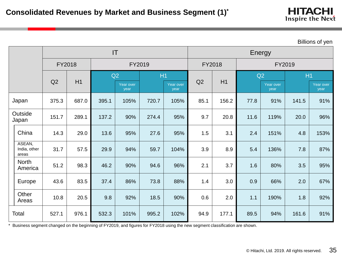| <b>HITACHI</b>   |  |  |
|------------------|--|--|
| Inspire the Next |  |  |

Billions of yen

|                                 |        |       | IT    |                   |        |                   |      |        |      | Energy            |        |                   |
|---------------------------------|--------|-------|-------|-------------------|--------|-------------------|------|--------|------|-------------------|--------|-------------------|
|                                 | FY2018 |       |       |                   | FY2019 |                   |      | FY2018 |      |                   | FY2019 |                   |
|                                 |        |       | Q2    |                   |        | H1                |      |        | Q2   |                   | H1     |                   |
|                                 | Q2     | H1    |       | Year over<br>year |        | Year over<br>year | Q2   | H1     |      | Year over<br>year |        | Year over<br>year |
| Japan                           | 375.3  | 687.0 | 395.1 | 105%              | 720.7  | 105%              | 85.1 | 156.2  | 77.8 | 91%               | 141.5  | 91%               |
| Outside<br>Japan                | 151.7  | 289.1 | 137.2 | 90%               | 274.4  | 95%               | 9.7  | 20.8   | 11.6 | 119%              | 20.0   | 96%               |
| China                           | 14.3   | 29.0  | 13.6  | 95%               | 27.6   | 95%               | 1.5  | 3.1    | 2.4  | 151%              | 4.8    | 153%              |
| ASEAN,<br>India, other<br>areas | 31.7   | 57.5  | 29.9  | 94%               | 59.7   | 104%              | 3.9  | 8.9    | 5.4  | 136%              | 7.8    | 87%               |
| <b>North</b><br>America         | 51.2   | 98.3  | 46.2  | 90%               | 94.6   | 96%               | 2.1  | 3.7    | 1.6  | 80%               | 3.5    | 95%               |
| Europe                          | 43.6   | 83.5  | 37.4  | 86%               | 73.8   | 88%               | 1.4  | 3.0    | 0.9  | 66%               | 2.0    | 67%               |
| Other<br>Areas                  | 10.8   | 20.5  | 9.8   | 92%               | 18.5   | 90%               | 0.6  | 2.0    | 1.1  | 190%              | 1.8    | 92%               |
| Total                           | 527.1  | 976.1 | 532.3 | 101%              | 995.2  | 102%              | 94.9 | 177.1  | 89.5 | 94%               | 161.6  | 91%               |

\* Business segment changed on the beginning of FY2019, and figures for FY2018 using the new segment classification are shown.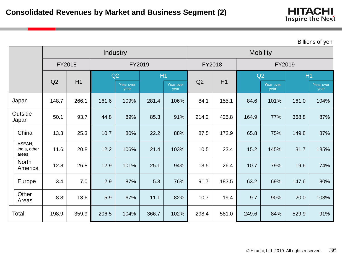| <b>HITACHI</b>   |  |
|------------------|--|
| Inspire the Next |  |

| <b>Billions of yen</b> |  |  |  |  |
|------------------------|--|--|--|--|
|------------------------|--|--|--|--|

|       |                                 |        |       |       | Industry          |        |                   | <b>Mobility</b> |       |        |                   |       |                   |  |  |
|-------|---------------------------------|--------|-------|-------|-------------------|--------|-------------------|-----------------|-------|--------|-------------------|-------|-------------------|--|--|
|       |                                 | FY2018 |       |       |                   | FY2019 |                   | FY2018          |       | FY2019 |                   |       |                   |  |  |
|       |                                 |        | H1    |       | Q2                | H1     |                   |                 | H1    |        | Q2                | H1    |                   |  |  |
|       |                                 | Q2     |       |       | Year over<br>year |        | Year over<br>year | Q2              |       |        | Year over<br>year |       | Year over<br>year |  |  |
|       | Japan                           | 148.7  | 266.1 | 161.6 | 109%              | 281.4  | 106%              | 84.1            | 155.1 | 84.6   | 101%              | 161.0 | 104%              |  |  |
|       | Outside<br>Japan                | 50.1   | 93.7  | 44.8  | 89%               | 85.3   | 91%               | 214.2           | 425.8 | 164.9  | 77%               | 368.8 | 87%               |  |  |
|       | China                           | 13.3   | 25.3  | 10.7  | 80%               | 22.2   | 88%               | 87.5            | 172.9 | 65.8   | 75%               | 149.8 | 87%               |  |  |
|       | ASEAN,<br>India, other<br>areas | 11.6   | 20.8  | 12.2  | 106%              | 21.4   | 103%              | 10.5            | 23.4  | 15.2   | 145%              | 31.7  | 135%              |  |  |
|       | <b>North</b><br>America         | 12.8   | 26.8  | 12.9  | 101%              | 25.1   | 94%               | 13.5            | 26.4  | 10.7   | 79%               | 19.6  | 74%               |  |  |
|       | Europe                          | 3.4    | 7.0   | 2.9   | 87%               | 5.3    | 76%               | 91.7            | 183.5 | 63.2   | 69%               | 147.6 | 80%               |  |  |
|       | Other<br>Areas                  | 8.8    | 13.6  | 5.9   | 67%               | 11.1   | 82%               | 10.7            | 19.4  | 9.7    | 90%               | 20.0  | 103%              |  |  |
| Total |                                 | 198.9  | 359.9 | 206.5 | 104%              | 366.7  | 102%              | 298.4           | 581.0 | 249.6  | 84%               | 529.9 | 91%               |  |  |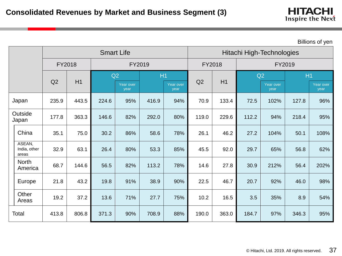|       |                                 |        |       |       | <b>Smart Life</b> |        |                   | Hitachi High-Technologies |       |        |                   |                |                   |  |  |
|-------|---------------------------------|--------|-------|-------|-------------------|--------|-------------------|---------------------------|-------|--------|-------------------|----------------|-------------------|--|--|
|       |                                 | FY2018 |       |       |                   | FY2019 |                   | FY2018                    |       | FY2019 |                   |                |                   |  |  |
|       |                                 |        | H1    |       | Q2                | H1     |                   |                           | H1    |        | Q2                | H <sub>1</sub> |                   |  |  |
|       |                                 | Q2     |       |       | Year over<br>year |        | Year over<br>year | Q2                        |       |        | Year over<br>year |                | Year over<br>year |  |  |
|       | Japan                           | 235.9  | 443.5 | 224.6 | 95%               | 416.9  | 94%               | 70.9                      | 133.4 | 72.5   | 102%              | 127.8          | 96%               |  |  |
|       | Outside<br>Japan                | 177.8  | 363.3 | 146.6 | 82%               | 292.0  | 80%               | 119.0                     | 229.6 | 112.2  | 94%               | 218.4          | 95%               |  |  |
|       | China                           | 35.1   | 75.0  | 30.2  | 86%               | 58.6   | 78%               | 26.1                      | 46.2  | 27.2   | 104%              | 50.1           | 108%              |  |  |
|       | ASEAN,<br>India, other<br>areas | 32.9   | 63.1  | 26.4  | 80%               | 53.3   | 85%               | 45.5                      | 92.0  | 29.7   | 65%               | 56.8           | 62%               |  |  |
|       | <b>North</b><br>America         | 68.7   | 144.6 | 56.5  | 82%               | 113.2  | 78%               | 14.6                      | 27.8  | 30.9   | 212%              | 56.4           | 202%              |  |  |
|       | Europe                          | 21.8   | 43.2  | 19.8  | 91%               | 38.9   | 90%               | 22.5                      | 46.7  | 20.7   | 92%               | 46.0           | 98%               |  |  |
|       | Other<br>Areas                  | 19.2   | 37.2  | 13.6  | 71%               | 27.7   | 75%               | 10.2                      | 16.5  | 3.5    | 35%               | 8.9            | 54%               |  |  |
| Total |                                 | 413.8  | 806.8 | 371.3 | 90%               | 708.9  | 88%               | 190.0                     | 363.0 | 184.7  | 97%               | 346.3          | 95%               |  |  |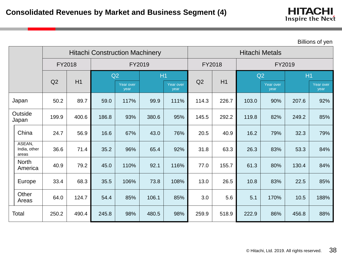|       |                                 |        |       |       | <b>Hitachi Construction Machinery</b> |        |                   | <b>Hitachi Metals</b> |        |       |                   |        |                   |  |  |
|-------|---------------------------------|--------|-------|-------|---------------------------------------|--------|-------------------|-----------------------|--------|-------|-------------------|--------|-------------------|--|--|
|       |                                 | FY2018 |       |       |                                       | FY2019 |                   |                       | FY2018 |       |                   | FY2019 |                   |  |  |
|       |                                 |        | H1    |       | Q2                                    | H1     |                   |                       | H1     | Q2    |                   | H1     |                   |  |  |
|       |                                 | Q2     |       |       | Year over<br>year                     |        | Year over<br>year | Q2                    |        |       | Year over<br>year |        | Year over<br>year |  |  |
|       | Japan                           | 50.2   | 89.7  | 59.0  | 117%                                  | 99.9   | 111%              | 114.3                 | 226.7  | 103.0 | 90%               | 207.6  | 92%               |  |  |
|       | Outside<br>Japan                | 199.9  | 400.6 | 186.8 | 93%                                   | 380.6  | 95%               | 145.5                 | 292.2  | 119.8 | 82%               | 249.2  | 85%               |  |  |
|       | China                           | 24.7   | 56.9  | 16.6  | 67%                                   | 43.0   | 76%               | 20.5                  | 40.9   | 16.2  | 79%               | 32.3   | 79%               |  |  |
|       | ASEAN,<br>India, other<br>areas | 36.6   | 71.4  | 35.2  | 96%                                   | 65.4   | 92%               | 31.8                  | 63.3   | 26.3  | 83%               | 53.3   | 84%               |  |  |
|       | <b>North</b><br>America         | 40.9   | 79.2  | 45.0  | 110%                                  | 92.1   | 116%              | 77.0                  | 155.7  | 61.3  | 80%               | 130.4  | 84%               |  |  |
|       | Europe                          | 33.4   | 68.3  | 35.5  | 106%                                  | 73.8   | 108%              | 13.0                  | 26.5   | 10.8  | 83%               | 22.5   | 85%               |  |  |
|       | Other<br>Areas                  | 64.0   | 124.7 | 54.4  | 85%                                   | 106.1  | 85%               | 3.0                   | 5.6    | 5.1   | 170%              | 10.5   | 188%              |  |  |
| Total |                                 | 250.2  | 490.4 | 245.8 | 98%                                   | 480.5  | 98%               | 259.9                 | 518.9  | 222.9 | 86%               | 456.8  | 88%               |  |  |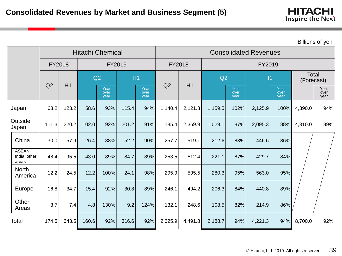| <b>Billions of yen</b> |  |
|------------------------|--|
|------------------------|--|

|                                 |        |       |       | <b>Hitachi Chemical</b> |       |                      | <b>Consolidated Revenues</b> |         |         |                      |         |                      |         |                      |  |  |
|---------------------------------|--------|-------|-------|-------------------------|-------|----------------------|------------------------------|---------|---------|----------------------|---------|----------------------|---------|----------------------|--|--|
|                                 | FY2018 |       |       | FY2019                  |       |                      | FY2018                       |         |         |                      | FY2019  |                      |         |                      |  |  |
|                                 | Q2     | H1    |       | Q2                      | H1    |                      | Q2                           |         | Q2      |                      | H1      |                      |         | Total<br>(Forecast)  |  |  |
|                                 |        |       |       | Year<br>over<br>year    |       | Year<br>over<br>year |                              | H1      |         | Year<br>over<br>year |         | Year<br>over<br>year |         | Year<br>over<br>year |  |  |
| Japan                           | 63.2   | 123.2 | 58.6  | 93%                     | 115.4 | 94%                  | 1,140.4                      | 2,121.8 | 1,159.5 | 102%                 | 2,125.9 | 100%                 | 4,390.0 | 94%                  |  |  |
| Outside<br>Japan                | 111.3  | 220.2 | 102.0 | 92%                     | 201.2 | 91%                  | 1,185.4                      | 2,369.9 | 1,029.1 | 87%                  | 2,095.3 | 88%                  | 4,310.0 | 89%                  |  |  |
| China                           | 30.0   | 57.9  | 26.4  | 88%                     | 52.2  | 90%                  | 257.7                        | 519.1   | 212.6   | 83%                  | 446.6   | 86%                  |         |                      |  |  |
| ASEAN,<br>India, other<br>areas | 48.4   | 95.5  | 43.0  | 89%                     | 84.7  | 89%                  | 253.5                        | 512.4   | 221.1   | 87%                  | 429.7   | 84%                  |         |                      |  |  |
| <b>North</b><br>America         | 12.2   | 24.5  | 12.2  | 100%                    | 24.1  | 98%                  | 295.9                        | 595.5   | 280.3   | 95%                  | 563.0   | 95%                  |         |                      |  |  |
| Europe                          | 16.8   | 34.7  | 15.4  | 92%                     | 30.8  | 89%                  | 246.1                        | 494.2   | 206.3   | 84%                  | 440.8   | 89%                  |         |                      |  |  |
| Other<br>Areas                  | 3.7    | 7.4   | 4.8   | 130%                    | 9.2   | 124%                 | 132.1                        | 248.6   | 108.5   | 82%                  | 214.9   | 86%                  |         |                      |  |  |
| Total                           | 174.5  | 343.5 | 160.6 | 92%                     | 316.6 | 92%                  | 2,325.9                      | 4,491.8 | 2,188.7 | 94%                  | 4,221.3 | 94%                  | 8,700.0 | 92%                  |  |  |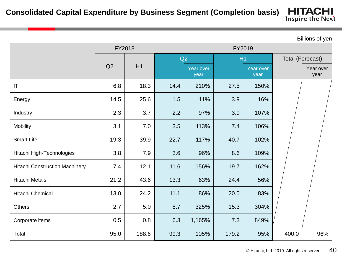#### **HITACHI Consolidated Capital Expenditure by Business Segment (Completion basis)**

Inspire the Next

|                                       |      | FY2018 | FY2019 |                   |       |                   |       |                   |  |  |
|---------------------------------------|------|--------|--------|-------------------|-------|-------------------|-------|-------------------|--|--|
|                                       |      |        |        | Q2                | H1    |                   |       | Total (Forecast)  |  |  |
|                                       | Q2   | H1     |        | Year over<br>year |       | Year over<br>year |       | Year over<br>year |  |  |
| IT                                    | 6.8  | 18.3   | 14.4   | 210%              | 27.5  | 150%              |       |                   |  |  |
| Energy                                | 14.5 | 25.6   | 1.5    | 11%               | 3.9   | 16%               |       |                   |  |  |
| Industry                              | 2.3  | 3.7    | 2.2    | 97%               | 3.9   | 107%              |       |                   |  |  |
| <b>Mobility</b>                       | 3.1  | 7.0    | 3.5    | 113%              | 7.4   | 106%              |       |                   |  |  |
| <b>Smart Life</b>                     | 19.3 | 39.9   | 22.7   | 117%              | 40.7  | 102%              |       |                   |  |  |
| Hitachi High-Technologies             | 3.8  | 7.9    | 3.6    | 96%               | 8.6   | 109%              |       |                   |  |  |
| <b>Hitachi Construction Machinery</b> | 7.4  | 12.1   | 11.6   | 156%              | 19.7  | 162%              |       |                   |  |  |
| <b>Hitachi Metals</b>                 | 21.2 | 43.6   | 13.3   | 63%               | 24.4  | 56%               |       |                   |  |  |
| Hitachi Chemical                      | 13.0 | 24.2   | 11.1   | 86%               | 20.0  | 83%               |       |                   |  |  |
| <b>Others</b>                         | 2.7  | 5.0    | 8.7    | 325%              | 15.3  | 304%              |       |                   |  |  |
| Corporate items                       | 0.5  | 0.8    | 6.3    | 1,165%            | 7.3   | 849%              |       |                   |  |  |
| Total                                 | 95.0 | 188.6  | 99.3   | 105%              | 179.2 | 95%               | 400.0 | 96%               |  |  |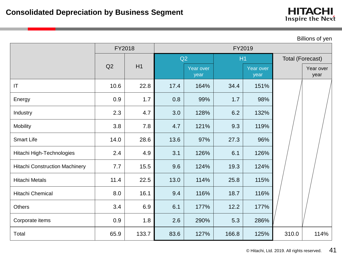|                                       |        |       |      |                   |       |                   |                         | Billions of yen   |  |  |
|---------------------------------------|--------|-------|------|-------------------|-------|-------------------|-------------------------|-------------------|--|--|
|                                       | FY2018 |       |      |                   |       | FY2019            |                         |                   |  |  |
|                                       |        |       |      | Q2                | H1    |                   | <b>Total (Forecast)</b> |                   |  |  |
|                                       | Q2     | H1    |      | Year over<br>year |       | Year over<br>year |                         | Year over<br>year |  |  |
| IT                                    | 10.6   | 22.8  | 17.4 | 164%              | 34.4  | 151%              |                         |                   |  |  |
| Energy                                | 0.9    | 1.7   | 0.8  | 99%               | 1.7   | 98%               |                         |                   |  |  |
| Industry                              | 2.3    | 4.7   | 3.0  | 128%              | 6.2   | 132%              |                         |                   |  |  |
| <b>Mobility</b>                       | 3.8    | 7.8   | 4.7  | 121%              | 9.3   | 119%              |                         |                   |  |  |
| <b>Smart Life</b>                     | 14.0   | 28.6  | 13.6 | 97%               | 27.3  | 96%               |                         |                   |  |  |
| Hitachi High-Technologies             | 2.4    | 4.9   | 3.1  | 126%              | 6.1   | 126%              |                         |                   |  |  |
| <b>Hitachi Construction Machinery</b> | 7.7    | 15.5  | 9.6  | 124%              | 19.3  | 124%              |                         |                   |  |  |
| <b>Hitachi Metals</b>                 | 11.4   | 22.5  | 13.0 | 114%              | 25.8  | 115%              |                         |                   |  |  |
| Hitachi Chemical                      | 8.0    | 16.1  | 9.4  | 116%              | 18.7  | 116%              |                         |                   |  |  |
| <b>Others</b>                         | 3.4    | 6.9   | 6.1  | 177%              | 12.2  | 177%              |                         |                   |  |  |
| Corporate items                       | 0.9    | 1.8   | 2.6  | 290%              | 5.3   | 286%              |                         |                   |  |  |
| Total                                 | 65.9   | 133.7 | 83.6 | 127%              | 166.8 | 125%              | 310.0                   | 114%              |  |  |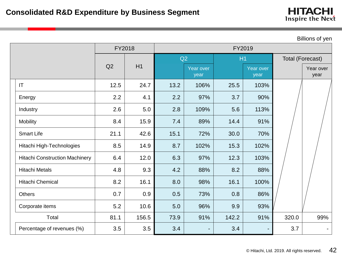| Billions of yen                       |        |       |        |                   |       |                          |                  |                   |  |
|---------------------------------------|--------|-------|--------|-------------------|-------|--------------------------|------------------|-------------------|--|
|                                       | FY2018 |       | FY2019 |                   |       |                          |                  |                   |  |
|                                       |        |       | Q2     |                   | H1    |                          | Total (Forecast) |                   |  |
|                                       | Q2     | H1    |        | Year over<br>year |       | <b>Year over</b><br>year |                  | Year over<br>year |  |
| $\mathsf{I}\mathsf{T}$                | 12.5   | 24.7  | 13.2   | 106%              | 25.5  | 103%                     |                  |                   |  |
| Energy                                | 2.2    | 4.1   | 2.2    | 97%               | 3.7   | 90%                      |                  |                   |  |
| Industry                              | 2.6    | 5.0   | 2.8    | 109%              | 5.6   | 113%                     |                  |                   |  |
| <b>Mobility</b>                       | 8.4    | 15.9  | 7.4    | 89%               | 14.4  | 91%                      |                  |                   |  |
| <b>Smart Life</b>                     | 21.1   | 42.6  | 15.1   | 72%               | 30.0  | 70%                      |                  |                   |  |
| Hitachi High-Technologies             | 8.5    | 14.9  | 8.7    | 102%              | 15.3  | 102%                     |                  |                   |  |
| <b>Hitachi Construction Machinery</b> | 6.4    | 12.0  | 6.3    | 97%               | 12.3  | 103%                     |                  |                   |  |
| <b>Hitachi Metals</b>                 | 4.8    | 9.3   | 4.2    | 88%               | 8.2   | 88%                      |                  |                   |  |
| Hitachi Chemical                      | 8.2    | 16.1  | 8.0    | 98%               | 16.1  | 100%                     |                  |                   |  |
| <b>Others</b>                         | 0.7    | 0.9   | 0.5    | 73%               | 0.8   | 86%                      |                  |                   |  |
| Corporate items                       | 5.2    | 10.6  | 5.0    | 96%               | 9.9   | 93%                      |                  |                   |  |
| Total                                 | 81.1   | 156.5 | 73.9   | 91%               | 142.2 | 91%                      | 320.0            | 99%               |  |
| Percentage of revenues (%)            | 3.5    | 3.5   | 3.4    |                   | 3.4   |                          | 3.7              |                   |  |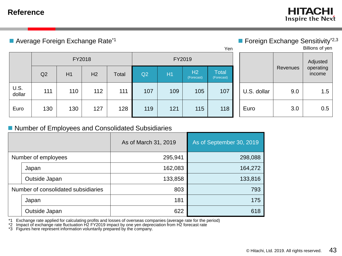### **Reference**

**HITACHI** Inspire the Next

■ Average Foreign Exchange Rate<sup>\*1</sup> Average Sensitivity<sup>\*2,3</sup>

| Yen            |     |     |        |       |     |       |                  |                            |             |          | Billions of yen     |
|----------------|-----|-----|--------|-------|-----|-------|------------------|----------------------------|-------------|----------|---------------------|
| FY2018         |     |     | FY2019 |       |     |       |                  |                            | Adjusted    |          |                     |
|                | Q2  | H1  | H2     | Total | Q2  | $H_1$ | H2<br>(Forecast) | <b>Total</b><br>(Forecast) |             | Revenues | operating<br>income |
| U.S.<br>dollar | 111 | 110 | 112    | 111   | 107 | 109   | 105              | 107                        | U.S. dollar | 9.0      | 1.5                 |
| Euro           | 130 | 130 | 127    | 128   | 119 | 121   | 115              | 118                        | Euro        | 3.0      | 0.5                 |

### ■ Number of Employees and Consolidated Subsidiaries

|                                     |               | As of March 31, 2019 | As of September 30, 2019 |  |
|-------------------------------------|---------------|----------------------|--------------------------|--|
| Number of employees                 |               | 295,941              | 298,088                  |  |
|                                     | Japan         | 162,083              | 164,272                  |  |
|                                     | Outside Japan | 133,858              | 133,816                  |  |
| Number of consolidated subsidiaries |               | 803                  | 793                      |  |
|                                     | Japan         | 181                  | 175                      |  |
|                                     | Outside Japan | 622                  | 618                      |  |

\*1 Exchange rate applied for calculating profits and losses of overseas companies (average rate for the period)

\*2 Impact of exchange rate fluctuation H2 FY2019 impact by one yen depreciation from H2 forecast rate

\*3 Figures here represent information voluntarily prepared by the company.